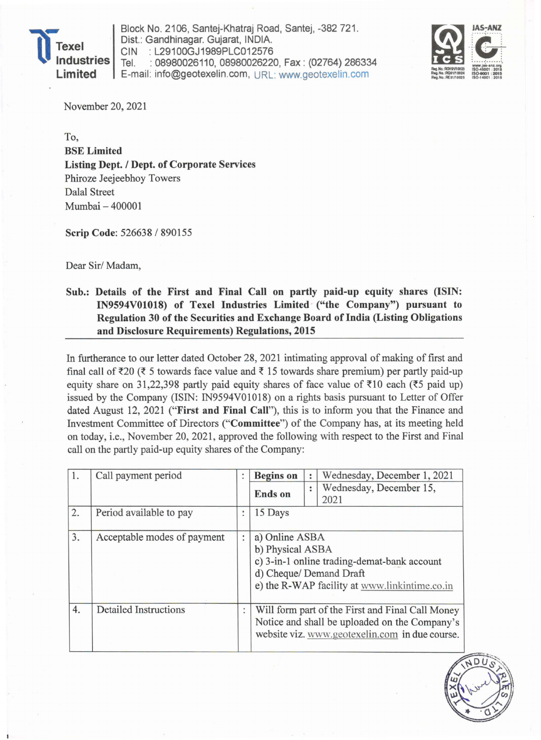

Block No. 2106, Santej-Khatraj Road, Santej, -382721. Dist.: Gandhinagar. Gujarat, INDIA. CIN : L29100GJ1989PLC012576 Tel. : 08980026110,08980026220, Fax: (02764) 286334 Limited E-mail: info@geotexelin.com, URL: www.geotexelin.com



November 20,2021

To, BSE Limited Listing Dept. / Dept. of Corporate Services Phiroze Jeejeebhoy Towers Dalal Street Mumbai - 400001

Scrip Code: 526638 / 890155

Dear Sir/ Madam,

## Sub.: Details of the First and Final Call on partly paid-up equity shares (ISIN: IN9594V01018) of Texel Industries Limited ("the Company") pursuant to Regulation 30 of the Securities and Exchange Board of India (Listing Obligations and Disclosure Requirements) Regulations, 2015

In furtherance to our letter dated October 28, 2021 intimating approval of making of first and final call of  $\bar{\tau}$ 20 ( $\bar{\tau}$  5 towards face value and  $\bar{\tau}$  15 towards share premium) per partly paid-up equity share on 31,22,398 partly paid equity shares of face value of  $\overline{510}$  each ( $\overline{55}$  paid up) issued by the Company (ISIN: IN9594VOI018) on a rights basis pursuant to Letter of Offer dated August 12, 2021 ("First and Final Call"), this is to inform you that the Finance and Investment Committee of Directors ("Committee") of the Company has, at its meeting held on today, i.e., November 20, 2021, approved the following with respect to the First and Final call on the partly paid-up equity shares of the Company:

| 1. | Call payment period          |                | <b>Begins</b> on                              |           | Wednesday, December 1, 2021                                                                     |
|----|------------------------------|----------------|-----------------------------------------------|-----------|-------------------------------------------------------------------------------------------------|
|    |                              |                | <b>Ends</b> on                                | $\bullet$ | Wednesday, December 15,                                                                         |
|    |                              |                |                                               |           | 2021                                                                                            |
| 2. | Period available to pay      | :              | 15 Days                                       |           |                                                                                                 |
| 3. | Acceptable modes of payment  | $\ddot{\cdot}$ | a) Online ASBA                                |           |                                                                                                 |
|    |                              |                | b) Physical ASBA                              |           |                                                                                                 |
|    |                              |                | c) 3-in-1 online trading-demat-bank account   |           |                                                                                                 |
|    |                              |                | d) Cheque/ Demand Draft                       |           |                                                                                                 |
|    |                              |                | e) the R-WAP facility at www.linkintime.co.in |           |                                                                                                 |
| 4. | <b>Detailed Instructions</b> | $\ddot{\cdot}$ |                                               |           | Will form part of the First and Final Call Money                                                |
|    |                              |                |                                               |           | Notice and shall be uploaded on the Company's<br>website viz. www.geotexelin.com in due course. |
|    |                              |                |                                               |           |                                                                                                 |